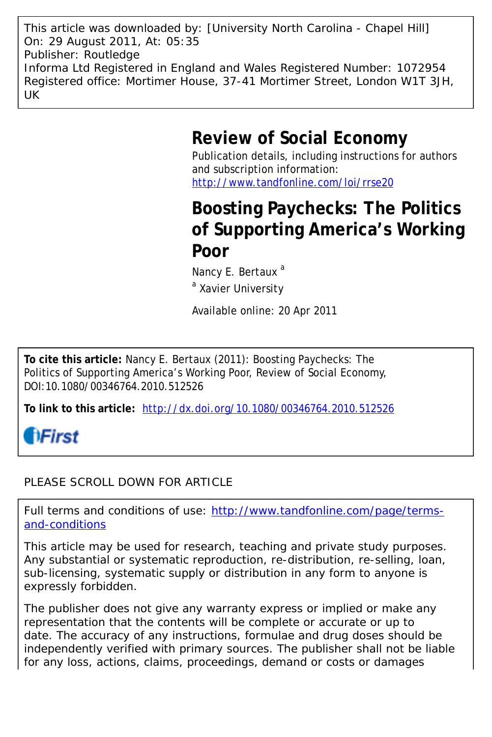This article was downloaded by: [University North Carolina - Chapel Hill] On: 29 August 2011, At: 05:35 Publisher: Routledge Informa Ltd Registered in England and Wales Registered Number: 1072954 Registered office: Mortimer House, 37-41 Mortimer Street, London W1T 3JH, UK

# **Review of Social Economy**

Publication details, including instructions for authors and subscription information: <http://www.tandfonline.com/loi/rrse20>

# **Boosting Paychecks: The Politics of Supporting America's Working Poor**

Nancy E. Bertaux<sup>a</sup>

<sup>a</sup> Xavier University

Available online: 20 Apr 2011

**To cite this article:** Nancy E. Bertaux (2011): Boosting Paychecks: The Politics of Supporting America's Working Poor, Review of Social Economy, DOI:10.1080/00346764.2010.512526

**To link to this article:** <http://dx.doi.org/10.1080/00346764.2010.512526>

# **fiFirst**

### PLEASE SCROLL DOWN FOR ARTICLE

Full terms and conditions of use: [http://www.tandfonline.com/page/terms](http://www.tandfonline.com/page/terms-and-conditions)[and-conditions](http://www.tandfonline.com/page/terms-and-conditions)

This article may be used for research, teaching and private study purposes. Any substantial or systematic reproduction, re-distribution, re-selling, loan, sub-licensing, systematic supply or distribution in any form to anyone is expressly forbidden.

The publisher does not give any warranty express or implied or make any representation that the contents will be complete or accurate or up to date. The accuracy of any instructions, formulae and drug doses should be independently verified with primary sources. The publisher shall not be liable for any loss, actions, claims, proceedings, demand or costs or damages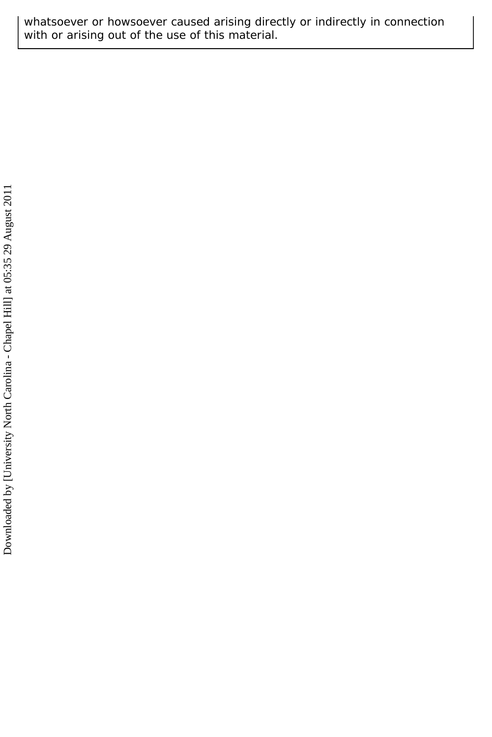whatsoever or howsoever caused arising directly or indirectly in connection with or arising out of the use of this material.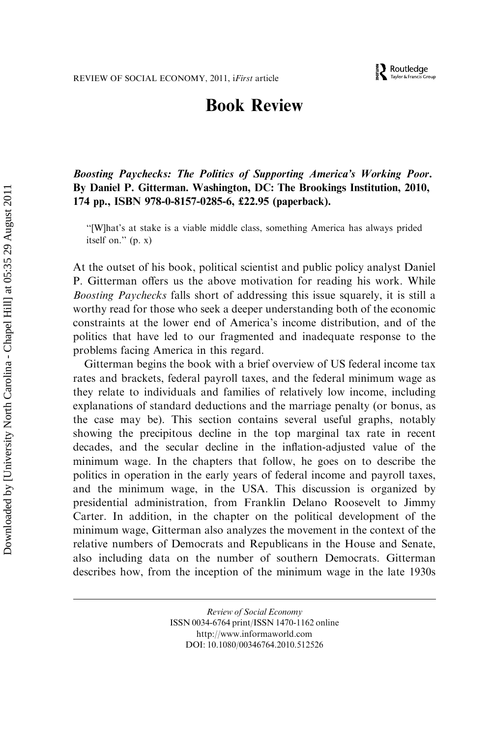## Book Review

Boosting Paychecks: The Politics of Supporting America's Working Poor. By Daniel P. Gitterman. Washington, DC: The Brookings Institution, 2010, 174 pp., ISBN 978-0-8157-0285-6, £22.95 (paperback).

''[W]hat's at stake is a viable middle class, something America has always prided itself on.'' (p. x)

At the outset of his book, political scientist and public policy analyst Daniel P. Gitterman offers us the above motivation for reading his work. While Boosting Paychecks falls short of addressing this issue squarely, it is still a worthy read for those who seek a deeper understanding both of the economic constraints at the lower end of America's income distribution, and of the politics that have led to our fragmented and inadequate response to the problems facing America in this regard.

Gitterman begins the book with a brief overview of US federal income tax rates and brackets, federal payroll taxes, and the federal minimum wage as they relate to individuals and families of relatively low income, including explanations of standard deductions and the marriage penalty (or bonus, as the case may be). This section contains several useful graphs, notably showing the precipitous decline in the top marginal tax rate in recent decades, and the secular decline in the inflation-adjusted value of the minimum wage. In the chapters that follow, he goes on to describe the politics in operation in the early years of federal income and payroll taxes, and the minimum wage, in the USA. This discussion is organized by presidential administration, from Franklin Delano Roosevelt to Jimmy Carter. In addition, in the chapter on the political development of the minimum wage, Gitterman also analyzes the movement in the context of the relative numbers of Democrats and Republicans in the House and Senate, also including data on the number of southern Democrats. Gitterman describes how, from the inception of the minimum wage in the late 1930s

> Review of Social Economy ISSN 0034-6764 print/ISSN 1470-1162 online http://www.informaworld.com DOI: 10.1080/00346764.2010.512526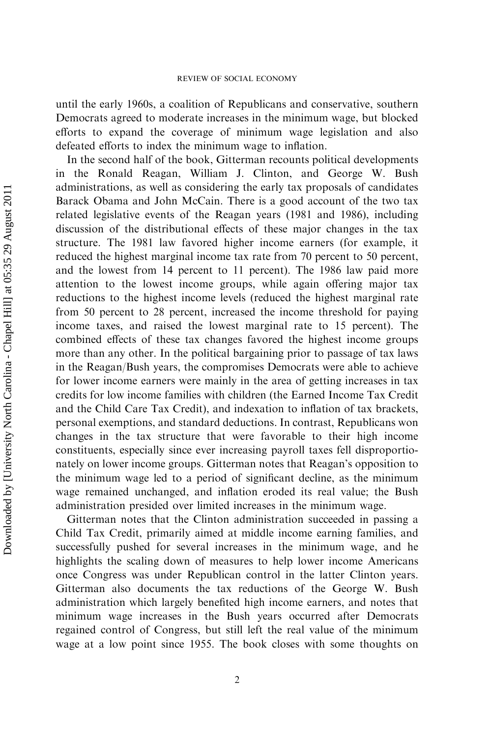until the early 1960s, a coalition of Republicans and conservative, southern Democrats agreed to moderate increases in the minimum wage, but blocked efforts to expand the coverage of minimum wage legislation and also defeated efforts to index the minimum wage to inflation.

In the second half of the book, Gitterman recounts political developments in the Ronald Reagan, William J. Clinton, and George W. Bush administrations, as well as considering the early tax proposals of candidates Barack Obama and John McCain. There is a good account of the two tax related legislative events of the Reagan years (1981 and 1986), including discussion of the distributional effects of these major changes in the tax structure. The 1981 law favored higher income earners (for example, it reduced the highest marginal income tax rate from 70 percent to 50 percent, and the lowest from 14 percent to 11 percent). The 1986 law paid more attention to the lowest income groups, while again offering major tax reductions to the highest income levels (reduced the highest marginal rate from 50 percent to 28 percent, increased the income threshold for paying income taxes, and raised the lowest marginal rate to 15 percent). The combined effects of these tax changes favored the highest income groups more than any other. In the political bargaining prior to passage of tax laws in the Reagan/Bush years, the compromises Democrats were able to achieve for lower income earners were mainly in the area of getting increases in tax credits for low income families with children (the Earned Income Tax Credit and the Child Care Tax Credit), and indexation to inflation of tax brackets, personal exemptions, and standard deductions. In contrast, Republicans won changes in the tax structure that were favorable to their high income constituents, especially since ever increasing payroll taxes fell disproportionately on lower income groups. Gitterman notes that Reagan's opposition to the minimum wage led to a period of significant decline, as the minimum wage remained unchanged, and inflation eroded its real value; the Bush administration presided over limited increases in the minimum wage.

Gitterman notes that the Clinton administration succeeded in passing a Child Tax Credit, primarily aimed at middle income earning families, and successfully pushed for several increases in the minimum wage, and he highlights the scaling down of measures to help lower income Americans once Congress was under Republican control in the latter Clinton years. Gitterman also documents the tax reductions of the George W. Bush administration which largely benefited high income earners, and notes that minimum wage increases in the Bush years occurred after Democrats regained control of Congress, but still left the real value of the minimum wage at a low point since 1955. The book closes with some thoughts on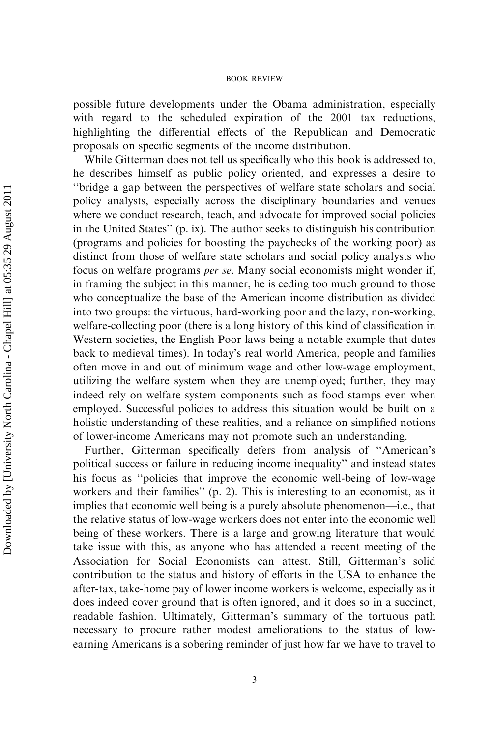#### BOOK REVIEW

possible future developments under the Obama administration, especially with regard to the scheduled expiration of the 2001 tax reductions, highlighting the differential effects of the Republican and Democratic proposals on specific segments of the income distribution.

While Gitterman does not tell us specifically who this book is addressed to, he describes himself as public policy oriented, and expresses a desire to ''bridge a gap between the perspectives of welfare state scholars and social policy analysts, especially across the disciplinary boundaries and venues where we conduct research, teach, and advocate for improved social policies in the United States'' (p. ix). The author seeks to distinguish his contribution (programs and policies for boosting the paychecks of the working poor) as distinct from those of welfare state scholars and social policy analysts who focus on welfare programs per se. Many social economists might wonder if, in framing the subject in this manner, he is ceding too much ground to those who conceptualize the base of the American income distribution as divided into two groups: the virtuous, hard-working poor and the lazy, non-working, welfare-collecting poor (there is a long history of this kind of classification in Western societies, the English Poor laws being a notable example that dates back to medieval times). In today's real world America, people and families often move in and out of minimum wage and other low-wage employment, utilizing the welfare system when they are unemployed; further, they may indeed rely on welfare system components such as food stamps even when employed. Successful policies to address this situation would be built on a holistic understanding of these realities, and a reliance on simplified notions of lower-income Americans may not promote such an understanding.

Further, Gitterman specifically defers from analysis of ''American's political success or failure in reducing income inequality'' and instead states his focus as ''policies that improve the economic well-being of low-wage workers and their families'' (p. 2). This is interesting to an economist, as it implies that economic well being is a purely absolute phenomenon—i.e., that the relative status of low-wage workers does not enter into the economic well being of these workers. There is a large and growing literature that would take issue with this, as anyone who has attended a recent meeting of the Association for Social Economists can attest. Still, Gitterman's solid contribution to the status and history of efforts in the USA to enhance the after-tax, take-home pay of lower income workers is welcome, especially as it does indeed cover ground that is often ignored, and it does so in a succinct, readable fashion. Ultimately, Gitterman's summary of the tortuous path necessary to procure rather modest ameliorations to the status of lowearning Americans is a sobering reminder of just how far we have to travel to